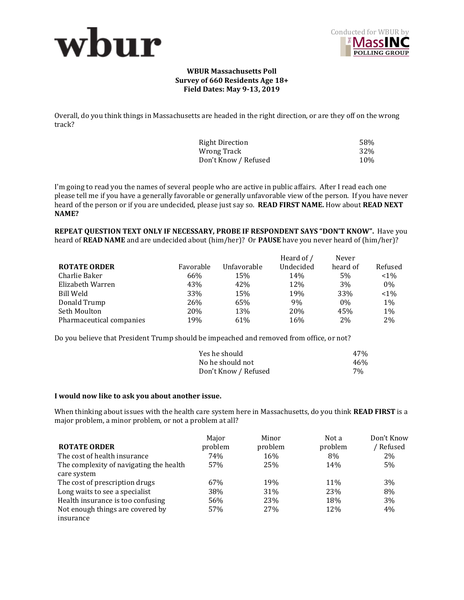



### **WBUR Massachusetts Poll Survey of 660 Residents Age 18+ Field Dates: May 9-13, 2019**

Overall, do you think things in Massachusetts are headed in the right direction, or are they off on the wrong track?

| Right Direction      | 58% |
|----------------------|-----|
| Wrong Track          | 32% |
| Don't Know / Refused | 10% |

I'm going to read you the names of several people who are active in public affairs. After I read each one please tell me if you have a generally favorable or generally unfavorable view of the person. If you have never heard of the person or if you are undecided, please just say so. **READ FIRST NAME.** How about **READ NEXT NAME?** 

**REPEAT QUESTION TEXT ONLY IF NECESSARY, PROBE IF RESPONDENT SAYS "DON'T KNOW".** Have you heard of **READ NAME** and are undecided about (him/her)? Or **PAUSE** have you never heard of (him/her)?

|                          |           |             | Heard of / | Never    |         |
|--------------------------|-----------|-------------|------------|----------|---------|
| <b>ROTATE ORDER</b>      | Favorable | Unfavorable | Undecided  | heard of | Refused |
| Charlie Baker            | 66%       | 15%         | 14%        | 5%       | $< 1\%$ |
| Elizabeth Warren         | 43%       | 42%         | 12%        | 3\%      | $0\%$   |
| Bill Weld                | 33%       | 15%         | 19%        | 33%      | $< 1\%$ |
| Donald Trump             | 26%       | 65%         | 9%         | $0\%$    | 1%      |
| Seth Moulton             | 20%       | 13%         | 20%        | 45%      | 1%      |
| Pharmaceutical companies | 19%       | 61%         | 16%        | 2%       | 2%      |

Do you believe that President Trump should be impeached and removed from office, or not?

| Yes he should        | 47%   |
|----------------------|-------|
| No he should not     | 46%   |
| Don't Know / Refused | $7\%$ |

#### **I would now like to ask you about another issue.**

When thinking about issues with the health care system here in Massachusetts, do you think **READ FIRST** is a major problem, a minor problem, or not a problem at all?

|                                         | Major   | Minor   | Not a   | Don't Know |
|-----------------------------------------|---------|---------|---------|------------|
| <b>ROTATE ORDER</b>                     | problem | problem | problem | Refused    |
| The cost of health insurance            | 74%     | 16%     | 8%      | $2\%$      |
| The complexity of navigating the health | 57%     | 25%     | 14%     | 5%         |
| care system                             |         |         |         |            |
| The cost of prescription drugs          | 67%     | 19%     | 11\%    | 3%         |
| Long waits to see a specialist          | 38%     | 31%     | 23%     | 8%         |
| Health insurance is too confusing       | 56%     | 23%     | 18%     | 3%         |
| Not enough things are covered by        | 57%     | 27%     | 12%     | 4%         |
| insurance                               |         |         |         |            |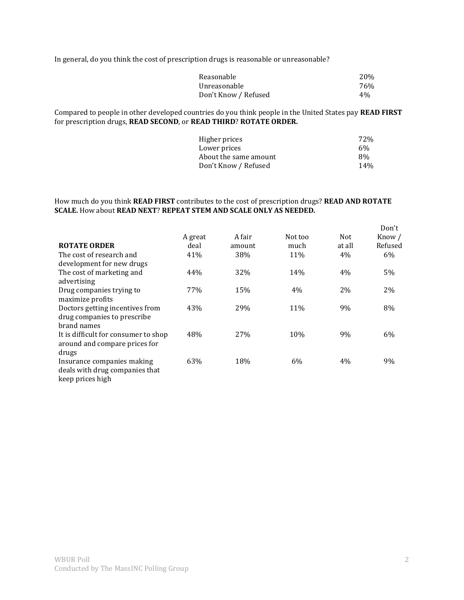In general, do you think the cost of prescription drugs is reasonable or unreasonable?

| Reasonable           | <b>20%</b> |
|----------------------|------------|
| Unreasonable         | 76%        |
| Don't Know / Refused | 4%         |

Compared to people in other developed countries do you think people in the United States pay **READ FIRST**  for prescription drugs, **READ SECOND**, or **READ THIRD**? **ROTATE ORDER.** 

| Higher prices         | 72% |
|-----------------------|-----|
| Lower prices          | 6%  |
| About the same amount | 8%  |
| Don't Know / Refused  | 14% |

## How much do you think **READ FIRST** contributes to the cost of prescription drugs? **READ AND ROTATE SCALE.** How about **READ NEXT**? **REPEAT STEM AND SCALE ONLY AS NEEDED.**

|                                      |         |        |         |        | Don't   |
|--------------------------------------|---------|--------|---------|--------|---------|
|                                      | A great | A fair | Not too | Not    | Know /  |
| <b>ROTATE ORDER</b>                  | deal    | amount | much    | at all | Refused |
| The cost of research and             | 41%     | 38%    | 11%     | 4%     | 6%      |
| development for new drugs            |         |        |         |        |         |
| The cost of marketing and            | 44%     | 32%    | 14%     | 4%     | 5%      |
| advertising                          |         |        |         |        |         |
| Drug companies trying to             | 77%     | 15%    | 4%      | 2%     | 2%      |
| maximize profits                     |         |        |         |        |         |
| Doctors getting incentives from      | 43%     | 29%    | 11%     | 9%     | 8%      |
| drug companies to prescribe          |         |        |         |        |         |
| brand names                          |         |        |         |        |         |
| It is difficult for consumer to shop | 48%     | 27%    | 10%     | 9%     | 6%      |
| around and compare prices for        |         |        |         |        |         |
| drugs                                |         |        |         |        |         |
| Insurance companies making           | 63%     | 18%    | 6%      | 4%     | 9%      |
| deals with drug companies that       |         |        |         |        |         |
| keep prices high                     |         |        |         |        |         |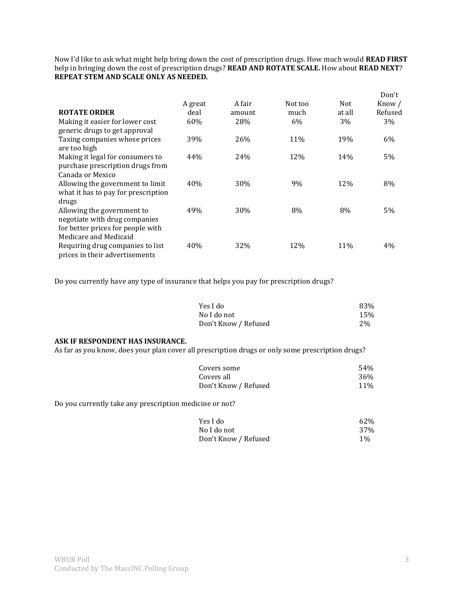Now I'd like to ask what might help bring down the cost of prescription drugs. How much would **READ FIRST**  help in bringing down the cost of prescription drugs? **READ AND ROTATE SCALE.** How about **READ NEXT**? **REPEAT STEM AND SCALE ONLY AS NEEDED.**

|                                                                                                                           | A great | A fair | Not too | Not    | Don't<br>Know / |
|---------------------------------------------------------------------------------------------------------------------------|---------|--------|---------|--------|-----------------|
| <b>ROTATE ORDER</b>                                                                                                       | deal    | amount | much    | at all | Refused         |
| Making it easier for lower cost<br>generic drugs to get approval                                                          | 60%     | 28%    | 6%      | 3%     | 3%              |
| Taxing companies whose prices<br>are too high                                                                             | 39%     | 26%    | 11%     | 19%    | 6%              |
| Making it legal for consumers to<br>purchase prescription drugs from<br>Canada or Mexico                                  | 44%     | 24%    | 12%     | 14%    | 5%              |
| Allowing the government to limit<br>what it has to pay for prescription<br>drugs                                          | 40%     | 30%    | 9%      | 12%    | 8%              |
| Allowing the government to<br>negotiate with drug companies<br>for better prices for people with<br>Medicare and Medicaid | 49%     | 30%    | 8%      | 8%     | 5%              |
| Requiring drug companies to list<br>prices in their advertisements                                                        | 40%     | 32%    | 12%     | 11%    | $4\%$           |

Do you currently have any type of insurance that helps you pay for prescription drugs?

| Yes I do             | 83% |
|----------------------|-----|
| No I do not          | 15% |
| Don't Know / Refused | 2%  |

# **ASK IF RESPONDENT HAS INSURANCE.**

As far as you know, does your plan cover all prescription drugs or only some prescription drugs?

| Covers some          | 54%             |
|----------------------|-----------------|
| Covers all           | 36 <sup>%</sup> |
| Don't Know / Refused | 11%             |

Do you currently take any prescription medicine or not?

| Yes I do             | 62%   |
|----------------------|-------|
| No I do not          | 37%   |
| Don't Know / Refused | $1\%$ |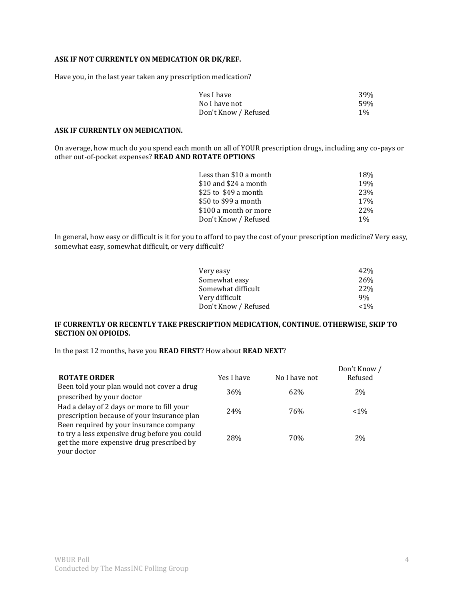## **ASK IF NOT CURRENTLY ON MEDICATION OR DK/REF.**

Have you, in the last year taken any prescription medication?

| Yes I have           | 39%   |
|----------------------|-------|
| No I have not        | .59%  |
| Don't Know / Refused | $1\%$ |

### **ASK IF CURRENTLY ON MEDICATION.**

On average, how much do you spend each month on all of YOUR prescription drugs, including any co-pays or other out-of-pocket expenses? **READ AND ROTATE OPTIONS** 

| Less than \$10 a month | 18%        |
|------------------------|------------|
| \$10 and \$24 a month  | 19%        |
| \$25 to \$49 a month   | 23%        |
| \$50 to \$99 a month   | 17%        |
| \$100 a month or more  | <b>22%</b> |
| Don't Know / Refused   | $1\%$      |

In general, how easy or difficult is it for you to afford to pay the cost of your prescription medicine? Very easy, somewhat easy, somewhat difficult, or very difficult?

| 42%             |
|-----------------|
| 26 <sub>%</sub> |
| <b>22%</b>      |
| 9%              |
| ${<}1\%$        |
|                 |

#### **IF CURRENTLY OR RECENTLY TAKE PRESCRIPTION MEDICATION, CONTINUE. OTHERWISE, SKIP TO SECTION ON OPIOIDS.**

In the past 12 months, have you **READ FIRST**? How about **READ NEXT**?

| <b>ROTATE ORDER</b>                                                                                                                                  | Yes I have      | No I have not | Don't Know /<br>Refused |
|------------------------------------------------------------------------------------------------------------------------------------------------------|-----------------|---------------|-------------------------|
| Been told your plan would not cover a drug                                                                                                           |                 |               |                         |
| prescribed by your doctor                                                                                                                            | 36%             | 62%           | 2%                      |
| Had a delay of 2 days or more to fill your<br>prescription because of your insurance plan                                                            | 24 <sub>%</sub> | 76%           | $~1\%$                  |
| Been required by your insurance company<br>to try a less expensive drug before you could<br>get the more expensive drug prescribed by<br>your doctor | 28%             | 70%           | 2%                      |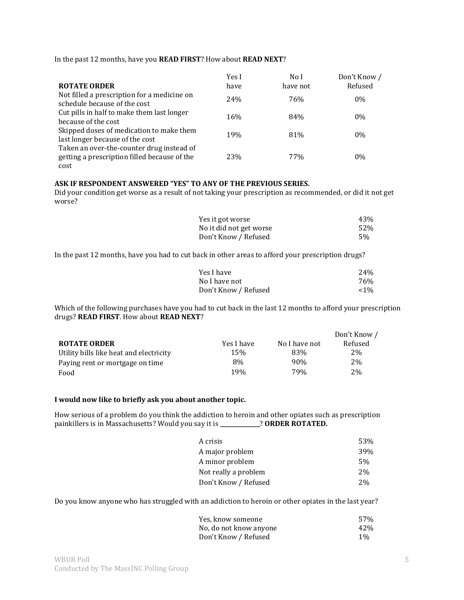|  |  |  | In the past 12 months, have you READ FIRST? How about READ NEXT? |
|--|--|--|------------------------------------------------------------------|
|  |  |  |                                                                  |

|                                                                                                   | Yes I      | No I     | Don't Know / |
|---------------------------------------------------------------------------------------------------|------------|----------|--------------|
| <b>ROTATE ORDER</b>                                                                               | have       | have not | Refused      |
| Not filled a prescription for a medicine on<br>schedule because of the cost                       | 24%        | 76%      | 0%           |
| Cut pills in half to make them last longer<br>because of the cost                                 | 16%        | 84%      | $0\%$        |
| Skipped doses of medication to make them<br>last longer because of the cost                       | <b>19%</b> | 81%      | 0%           |
| Taken an over-the-counter drug instead of<br>getting a prescription filled because of the<br>cost | 23%        | 77%      | $0\%$        |

# **ASK IF RESPONDENT ANSWERED "YES" TO ANY OF THE PREVIOUS SERIES.**

Did your condition get worse as a result of not taking your prescription as recommended, or did it not get worse?

| Yes it got worse        | 43% |
|-------------------------|-----|
| No it did not get worse | 52% |
| Don't Know / Refused    | .5% |

In the past 12 months, have you had to cut back in other areas to afford your prescription drugs?

| Yes I have           | 24 <sub>%</sub> |
|----------------------|-----------------|
| No I have not        | 76%             |
| Don't Know / Refused | $< 1\%$         |

Which of the following purchases have you had to cut back in the last 12 months to afford your prescription drugs? **READ FIRST**. How about **READ NEXT**?

|                                         |            |               | Don't Know / |
|-----------------------------------------|------------|---------------|--------------|
| <b>ROTATE ORDER</b>                     | Yes I have | No I have not | Refused      |
| Utility bills like heat and electricity | 15%        | 83%           | 2%           |
| Paying rent or mortgage on time         | 8%         | 90%           | 2%           |
| Food                                    | 19%        | 79%           | 2%           |

# **I would now like to briefly ask you about another topic.**

How serious of a problem do you think the addiction to heroin and other opiates such as prescription painkillers is in Massachusetts? Would you say it is **\_\_\_\_\_\_\_\_\_\_\_\_\_\_**? **ORDER ROTATED.**

| A crisis             | 53% |
|----------------------|-----|
| A major problem      | 39% |
| A minor problem      | 5%  |
| Not really a problem | 2%  |
| Don't Know / Refused | 2%  |

Do you know anyone who has struggled with an addiction to heroin or other opiates in the last year?

| Yes, know someone      | 57%   |
|------------------------|-------|
| No, do not know anyone | 42%   |
| Don't Know / Refused   | $1\%$ |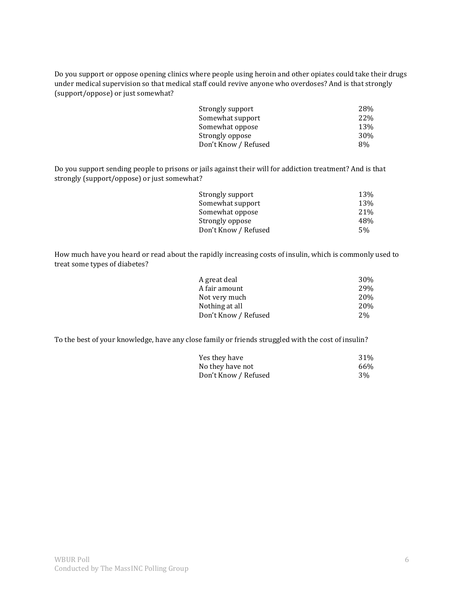Do you support or oppose opening clinics where people using heroin and other opiates could take their drugs under medical supervision so that medical staff could revive anyone who overdoses? And is that strongly (support/oppose) or just somewhat?

| 28%        |
|------------|
| <b>22%</b> |
| 13%        |
| 30%        |
| 8%         |
|            |

Do you support sending people to prisons or jails against their will for addiction treatment? And is that strongly (support/oppose) or just somewhat?

| Strongly support     | 13%             |
|----------------------|-----------------|
| Somewhat support     | 13%             |
| Somewhat oppose      | 21%             |
| Strongly oppose      | 48%             |
| Don't Know / Refused | .5 <sub>%</sub> |

How much have you heard or read about the rapidly increasing costs of insulin, which is commonly used to treat some types of diabetes?

| 30 <sup>%</sup> |
|-----------------|
| <b>29%</b>      |
| <b>20%</b>      |
| <b>20%</b>      |
| 2%              |
|                 |

To the best of your knowledge, have any close family or friends struggled with the cost of insulin?

| Yes they have        | 31% |
|----------------------|-----|
| No they have not     | 66% |
| Don't Know / Refused | 3%  |